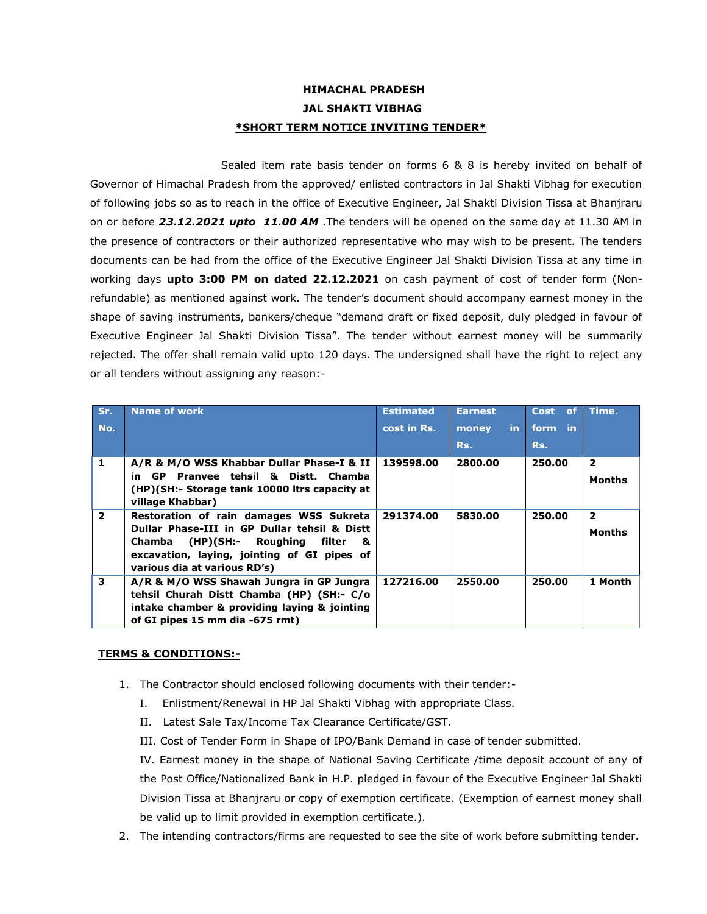## **HIMACHAL PRADESH JAL SHAKTI VIBHAG \*SHORT TERM NOTICE INVITING TENDER\***

Sealed item rate basis tender on forms 6 & 8 is hereby invited on behalf of Governor of Himachal Pradesh from the approved/ enlisted contractors in Jal Shakti Vibhag for execution of following jobs so as to reach in the office of Executive Engineer, Jal Shakti Division Tissa at Bhanjraru on or before *23.12.2021 upto 11.00 AM* .The tenders will be opened on the same day at 11.30 AM in the presence of contractors or their authorized representative who may wish to be present. The tenders documents can be had from the office of the Executive Engineer Jal Shakti Division Tissa at any time in working days **upto 3:00 PM on dated 22.12.2021** on cash payment of cost of tender form (Nonrefundable) as mentioned against work. The tender's document should accompany earnest money in the shape of saving instruments, bankers/cheque "demand draft or fixed deposit, duly pledged in favour of Executive Engineer Jal Shakti Division Tissa". The tender without earnest money will be summarily rejected. The offer shall remain valid upto 120 days. The undersigned shall have the right to reject any or all tenders without assigning any reason:-

| Sr.            | <b>Name of work</b>                                                                                                                                                                                                 | <b>Estimated</b> | <b>Earnest</b> | Cost of | Time.                           |
|----------------|---------------------------------------------------------------------------------------------------------------------------------------------------------------------------------------------------------------------|------------------|----------------|---------|---------------------------------|
| No.            |                                                                                                                                                                                                                     | cost in Rs.      | in.<br>money   | form in |                                 |
|                |                                                                                                                                                                                                                     |                  | Rs.            | Rs.     |                                 |
| 1              | A/R & M/O WSS Khabbar Dullar Phase-I & II<br>in GP Pranyee tehsil & Distt. Chamba<br>(HP)(SH:- Storage tank 10000 ltrs capacity at<br>village Khabbar)                                                              | 139598.00        | 2800.00        | 250.00  | $\overline{2}$<br><b>Months</b> |
| $\overline{2}$ | Restoration of rain damages WSS Sukreta<br>Dullar Phase-III in GP Dullar tehsil & Distt<br>(HP)(SH:- Roughing filter<br>Chamba<br>8.<br>excavation, laying, jointing of GI pipes of<br>various dia at various RD's) | 291374.00        | 5830.00        | 250.00  | $\mathbf{2}$<br>Months          |
| 3              | A/R & M/O WSS Shawah Jungra in GP Jungra<br>tehsil Churah Distt Chamba (HP) (SH:- C/o<br>intake chamber & providing laying & jointing<br>of GI pipes 15 mm dia -675 rmt)                                            | 127216.00        | 2550.00        | 250.00  | 1 Month                         |

## **TERMS & CONDITIONS:-**

- 1. The Contractor should enclosed following documents with their tender:-
	- I. Enlistment/Renewal in HP Jal Shakti Vibhag with appropriate Class.
	- II. Latest Sale Tax/Income Tax Clearance Certificate/GST.
	- III. Cost of Tender Form in Shape of IPO/Bank Demand in case of tender submitted.

IV. Earnest money in the shape of National Saving Certificate /time deposit account of any of the Post Office/Nationalized Bank in H.P. pledged in favour of the Executive Engineer Jal Shakti Division Tissa at Bhanjraru or copy of exemption certificate. (Exemption of earnest money shall be valid up to limit provided in exemption certificate.).

2. The intending contractors/firms are requested to see the site of work before submitting tender.